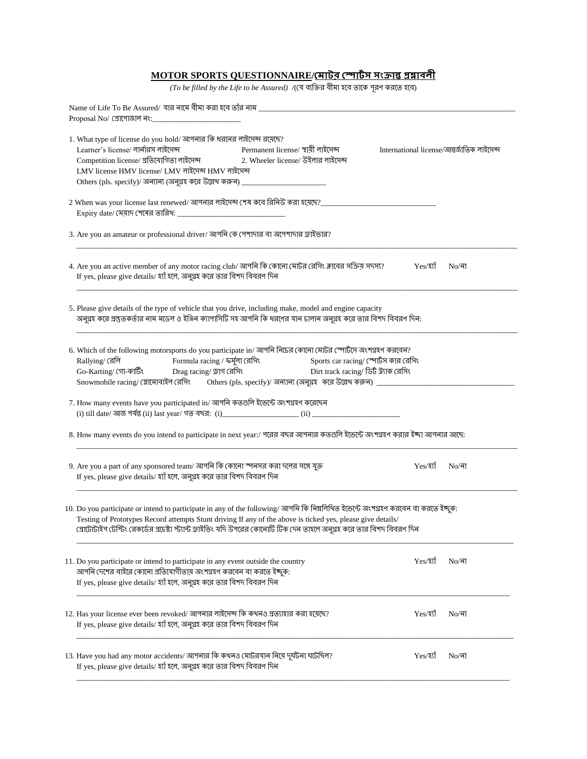## **MOTOR SPORTS QUESTIONNAIRE/**

*(To be filled by the Life to be Assured) /(*(য ব্যক্তির বীমা হবে তাকে পূরণ করতে হবে)

| Name of Life To Be Assured/ যার নামে বীমা করা হবে তাঁর নাম                                                                                                                                                                                                                                                                                                                       |
|----------------------------------------------------------------------------------------------------------------------------------------------------------------------------------------------------------------------------------------------------------------------------------------------------------------------------------------------------------------------------------|
| 1. What type of license do you hold/ আপনার কি ধরনের লাইসেন্স রয়েছে?<br>Learner's license/ লার্নারস লাইসেন্স<br>Permanent license/ স্থায়ী লাইসেন্স<br>International license/আন্তর্জাতিক লাইসেন্স<br>Learner s Itcense/ লানারস লাইসেন্স<br>Competition license/ প্রতিযোগিতা লাইসেন্স<br>2. Wheeler license/ উইলার লাইসেন্স<br>LMV license HMV license/ LMV লাইসেন্স HMV লাইসেন্স |
| 2 When was your license last renewed/ আপনার লাইসেন্স শেষ কবে রিনিউ করা হয়েছে?_                                                                                                                                                                                                                                                                                                  |
| 3. Are you an amateur or professional driver/ আপনি কে পেশাদার বা অপেশাদার ড্রাইভার?                                                                                                                                                                                                                                                                                              |
| 4. Are you an active member of any motor racing club/ আপনি কি কোনো মোটর রেসিং ক্লাবের সক্রিয় সদস্য?<br>Yes/হ্যাঁ<br>$No/\sqrt{a}$<br>If yes, please give details/ হ্যাঁ হলে, অনুগ্ৰহ করে তার বিশদ বিবরণ দিন                                                                                                                                                                     |
| 5. Please give details of the type of vehicle that you drive, including make, model and engine capacity<br>অনুগ্রহ করে প্রস্তুতকর্তার নাম মডেল ও ইঞ্জিন ক্যাপাসিটি সহ আপনি কি ধরণের যান চালান অনুগ্রহ করে তার বিশদ বিবরণ দিন:                                                                                                                                                    |
| 6. Which of the following motorsports do you participate in/ আপনি নিচের কোনো মোটর স্পোর্টদে অংশগ্রহণ করবেন?<br>Formula racing / ফর্মুলা রেসিং                             Sports car racing/ স্পোর্টস কার রেসিং<br>Rallying/ রেলি<br>Go-Karting/ গো-কাৰ্টিং<br>Drag racing/ ড্রাগ রেসিং<br>Dirt track racing/ ডির্ট ট্র্যাক রেসিং                                                |
| 7. How many events have you participated in/ আপনি কতগুলি ইভেন্টে অংশগ্ৰহণ করেছেন<br>8. How many events do you intend to participate in next year:/ পরের বছর আপনার কডগুলি ইভেন্টে অংশগ্রহণ করার ইচ্ছা আপনার আছে:                                                                                                                                                                  |
| 9. Are you a part of any sponsored team/ আপনি কি কোনো স্পনসর করা দলের সঙ্গে যুক্ত<br>Yes/হ্যাঁ<br>$No/$ না<br>If yes, please give details/ হ্যাঁ হলে, অনুগ্ৰহ করে তার বিশদ বিবরণ দিন                                                                                                                                                                                             |
| 10. Do you participate or intend to participate in any of the following/ আপনি কি নিম্নলিখিত ইভেন্টে অংশগ্ৰহণ করবেন বা করতে ইঙ্গুক:<br>Testing of Prototypes Record attempts Stunt driving If any of the above is ticked yes, please give details/<br>প্রোটোটাইপ টেস্টিং রেকর্ডের প্রচেষ্টা স্ট্যান্ট ড্রাইভিং যদি উপরের কোনোটি টিক দেন তাহলে অনুগ্রহ করে তার বিশদ বিবরণ দিন      |
| Yes/30<br>11. Do you participate or intend to participate in any event outside the country<br>$No/\sqrt{q}$<br>আপনি দেশের বাইরে কোনো প্রতিযোগীতায় অংশগ্রহণ করবেন বা করতে ইচ্ছুক:<br>If yes, please give details/ হ্যাঁ হলে, অনুগ্ৰহ করে তার বিশদ বিবরণ দিন                                                                                                                      |
| 12. Has your license ever been revoked/ আপনার লাইসেন্স কি কথনও প্রত্যাহার করা হয়েছে?<br>$Yes/35$ াঁ<br>$No/\sqrt{q}$<br>If yes, please give details/ হ্যাঁ হলে, অনুগ্রহ করে তার বিশদ বিবরণ দিন                                                                                                                                                                                  |
| 13. Have you had any motor accidents/ আপনার কি কথনও মোটরযান নিয়ে দুর্ঘটনা ঘটেছিল?<br>Yes/হ্যা<br>$No/\sqrt{a}$<br>If yes, please give details/ হ্যাঁ হলে, অনুগ্রহ করে তার বিশদ বিবরণ দিন                                                                                                                                                                                        |